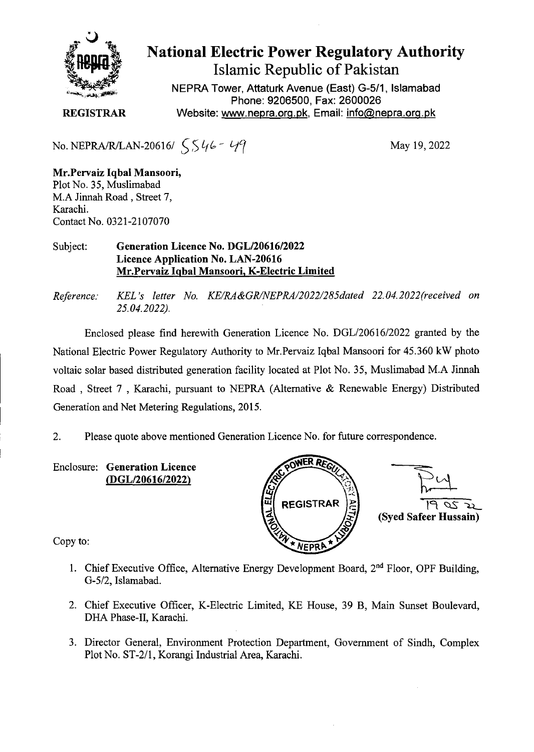

## **National Electric Power Regulatory Authority Islamic Republic of Pakistan**

NEPRA Tower, Attaturk Avenue (East) G-5/1, Islamabad Phone: 9206500, Fax: 2600026 **REGISTRAR** Website: www.nepra.org.pk, Email: info@nepra.org.pk

No. NEPRA/R/LAN-20616/  $SS46 - 49$ 

May 19, 2022

**Mr.Pervaiz IqbaI Mansoori,**  Plot No. 35, Muslimabad M.A Jinnah Road, Street 7, Karachi. Contact No. 0321-2107070

## Subject: **Generation Licence No. DGL/20616/2022 Licence Application No. LAN-20616 Mr.Pervaiz Iqbal Mansoori, K-Electric Limited**

*Reference: KEL 's letter No. KE/RA&GR/NEPRA/2022/285dated 22.04. 2022(received on 25.04.2022).* 

Enclosed please find herewith Generation Licence No. DGL/20616/2022 granted by the National Electric Power Regulatory Authority to Mr.Pervaiz Iqbal Mansoori for 45.360 kW photo voltaic solar based distributed generation facility located at Plot No. *35,* Muslimabad M.A Jinnah Road , Street 7 , Karachi, pursuant to NEPRA (Alternative & Renewable Energy) Distributed Generation and Net Metering Regulations, 2015.

2. Please quote above mentioned Generation Licence No. for future correspondence.

**Enclosure: Generation Licence**  *(DGL120616/2022)* 



Copy to:

- 1. Chief Executive Office, Alternative Energy Development Board, 2<sup>nd</sup> Floor, OPF Building, G-5/2, Islamabad.
- 2. Chief Executive Officer, K-Electric Limited, KE House, 39 B, Main Sunset Boulevard, DHA Phase-II, Karachi.
- 3. Director General, Environment Protection Department, Government of Sindh, Complex Plot No. ST-2/1, Korangi Industrial Area, Karachi.